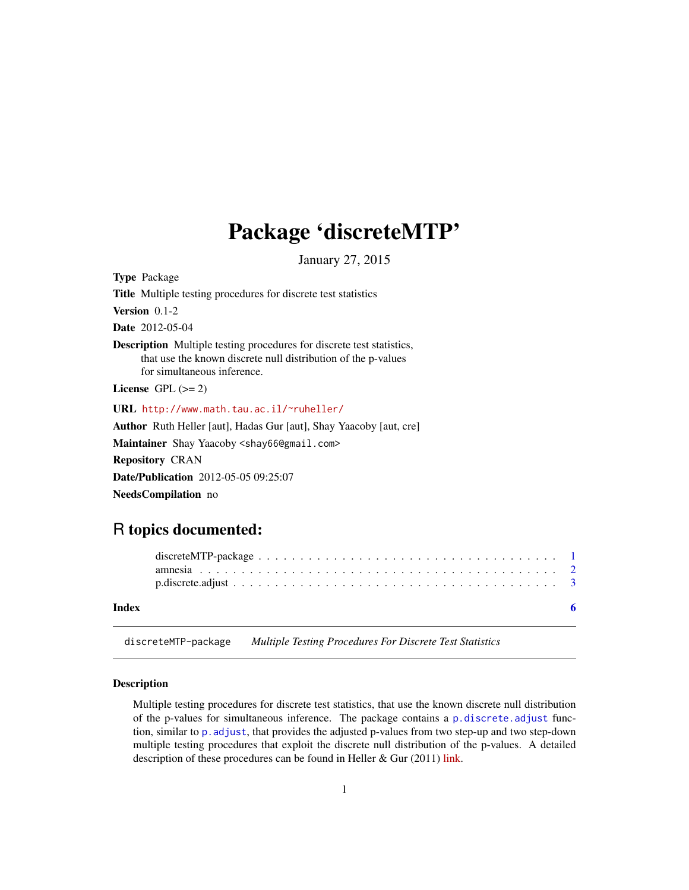## <span id="page-0-0"></span>Package 'discreteMTP'

January 27, 2015

<span id="page-0-1"></span>Type Package Title Multiple testing procedures for discrete test statistics Version 0.1-2 Date 2012-05-04 Description Multiple testing procedures for discrete test statistics, that use the known discrete null distribution of the p-values for simultaneous inference. License GPL  $(>= 2)$ URL <http://www.math.tau.ac.il/~ruheller/> Author Ruth Heller [aut], Hadas Gur [aut], Shay Yaacoby [aut, cre] Maintainer Shay Yaacoby <shay66@gmail.com> Repository CRAN Date/Publication 2012-05-05 09:25:07 NeedsCompilation no

### R topics documented:

| Index |  |  |  |  |  |  |  |  |  |  |  |  |  |  |  |  |
|-------|--|--|--|--|--|--|--|--|--|--|--|--|--|--|--|--|
|       |  |  |  |  |  |  |  |  |  |  |  |  |  |  |  |  |
|       |  |  |  |  |  |  |  |  |  |  |  |  |  |  |  |  |

discreteMTP-package *Multiple Testing Procedures For Discrete Test Statistics*

#### Description

Multiple testing procedures for discrete test statistics, that use the known discrete null distribution of the p-values for simultaneous inference. The package contains a [p.discrete.adjust](#page-2-1) function, similar to p.adjust, that provides the adjusted p-values from two step-up and two step-down multiple testing procedures that exploit the discrete null distribution of the p-values. A detailed description of these procedures can be found in Heller & Gur  $(2011)$  [link.](http://arxiv.org/abs/1112.4627v1)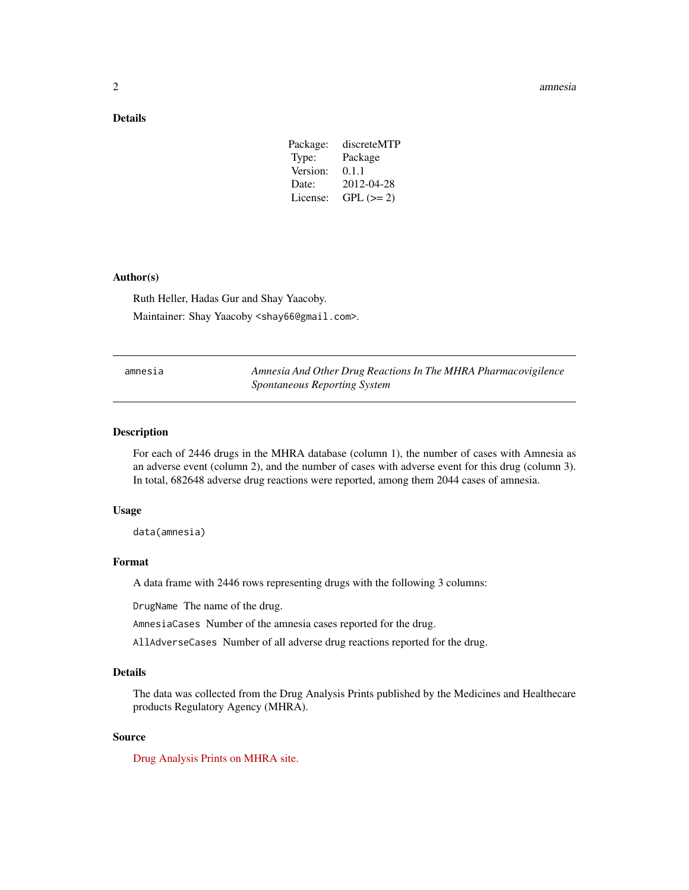#### <span id="page-1-0"></span>2 amnesia amnesia amnesia amnesia amnesia amnesia amnesia amnesia amnesia amnesia amnesia amnesia amnesia amnesia amnesia amnesia amnesia amnesia amnesia amnesia amnesia amnesia amnesia amnesia amnesia amnesia amnesia amne

#### Details

| discreteMTP |
|-------------|
| Package     |
| 0.1.1       |
| 2012-04-28  |
| $GPL (=2)$  |
|             |

#### Author(s)

Ruth Heller, Hadas Gur and Shay Yaacoby. Maintainer: Shay Yaacoby <shay66@gmail.com>.

| amnesia | Amnesia And Other Drug Reactions In The MHRA Pharmacovigilence |
|---------|----------------------------------------------------------------|
|         | <i>Spontaneous Reporting System</i>                            |

#### Description

For each of 2446 drugs in the MHRA database (column 1), the number of cases with Amnesia as an adverse event (column 2), and the number of cases with adverse event for this drug (column 3). In total, 682648 adverse drug reactions were reported, among them 2044 cases of amnesia.

#### Usage

data(amnesia)

#### Format

A data frame with 2446 rows representing drugs with the following 3 columns:

DrugName The name of the drug.

AmnesiaCases Number of the amnesia cases reported for the drug.

AllAdverseCases Number of all adverse drug reactions reported for the drug.

#### Details

The data was collected from the Drug Analysis Prints published by the Medicines and Healthecare products Regulatory Agency (MHRA).

#### Source

[Drug Analysis Prints on MHRA site.](http://www.mhra.gov.uk/Safetyinformation/Howwemonitorthesafetyofproducts/Medicines/TheYellowCardScheme/YellowCarddata/Druganalysisprints/index.htm)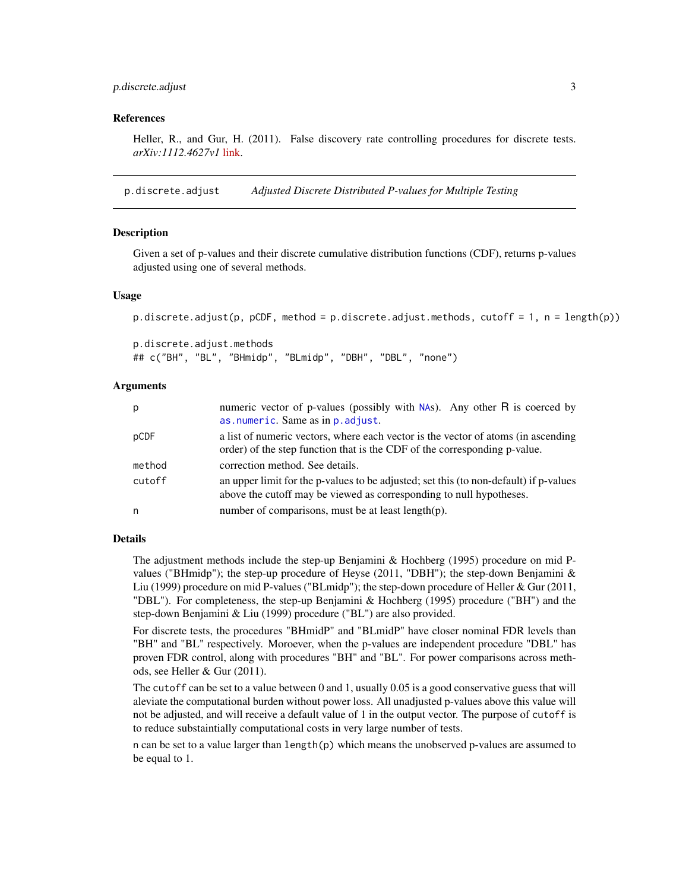#### <span id="page-2-0"></span>p.discrete.adjust 3

#### References

Heller, R., and Gur, H. (2011). False discovery rate controlling procedures for discrete tests. *arXiv:1112.4627v1* [link.](http://arxiv.org/abs/1112.4627v1)

<span id="page-2-1"></span>p.discrete.adjust *Adjusted Discrete Distributed P-values for Multiple Testing*

#### **Description**

Given a set of p-values and their discrete cumulative distribution functions (CDF), returns p-values adjusted using one of several methods.

#### Usage

```
p.discrete.adjust(p, pCDF, method = p.discrete.adjust.methods, cutoff = 1, n = length(p))
```
p.discrete.adjust.methods ## c("BH", "BL", "BHmidp", "BLmidp", "DBH", "DBL", "none")

#### Arguments

| p      | numeric vector of p-values (possibly with $NAS$ ). Any other R is coerced by<br>as.numeric. Same as in p. adjust.                                              |
|--------|----------------------------------------------------------------------------------------------------------------------------------------------------------------|
| pCDF   | a list of numeric vectors, where each vector is the vector of atoms (in ascending<br>order) of the step function that is the CDF of the corresponding p-value. |
| method | correction method. See details.                                                                                                                                |
| cutoff | an upper limit for the p-values to be adjusted; set this (to non-default) if p-values<br>above the cutoff may be viewed as corresponding to null hypotheses.   |
| n      | number of comparisons, must be at least length(p).                                                                                                             |

#### Details

The adjustment methods include the step-up Benjamini & Hochberg (1995) procedure on mid Pvalues ("BHmidp"); the step-up procedure of Heyse (2011, "DBH"); the step-down Benjamini  $\&$ Liu (1999) procedure on mid P-values ("BLmidp"); the step-down procedure of Heller & Gur (2011, "DBL"). For completeness, the step-up Benjamini & Hochberg (1995) procedure ("BH") and the step-down Benjamini & Liu (1999) procedure ("BL") are also provided.

For discrete tests, the procedures "BHmidP" and "BLmidP" have closer nominal FDR levels than "BH" and "BL" respectively. Moroever, when the p-values are independent procedure "DBL" has proven FDR control, along with procedures "BH" and "BL". For power comparisons across methods, see Heller & Gur (2011).

The cutoff can be set to a value between 0 and 1, usually 0.05 is a good conservative guess that will aleviate the computational burden without power loss. All unadjusted p-values above this value will not be adjusted, and will receive a default value of 1 in the output vector. The purpose of cutoff is to reduce substaintially computational costs in very large number of tests.

n can be set to a value larger than length(p) which means the unobserved p-values are assumed to be equal to 1.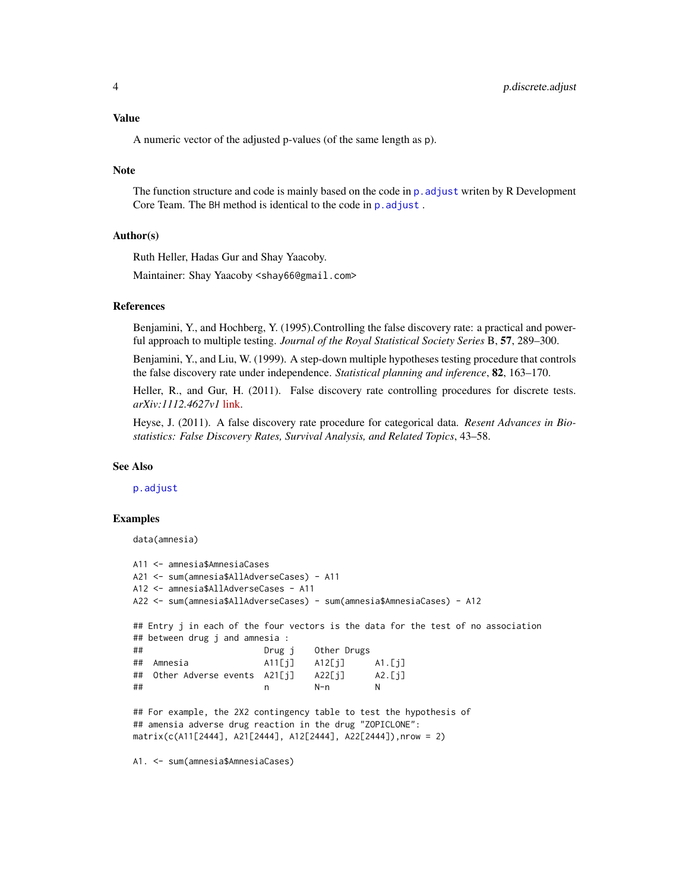#### <span id="page-3-0"></span>Value

A numeric vector of the adjusted p-values (of the same length as p).

#### **Note**

The function structure and code is mainly based on the code in p. adjust writen by R Development Core Team. The BH method is identical to the code in p. adjust.

#### Author(s)

Ruth Heller, Hadas Gur and Shay Yaacoby.

Maintainer: Shay Yaacoby <shay66@gmail.com>

#### References

Benjamini, Y., and Hochberg, Y. (1995).Controlling the false discovery rate: a practical and powerful approach to multiple testing. *Journal of the Royal Statistical Society Series* B, 57, 289–300.

Benjamini, Y., and Liu, W. (1999). A step-down multiple hypotheses testing procedure that controls the false discovery rate under independence. *Statistical planning and inference*, 82, 163–170.

Heller, R., and Gur, H. (2011). False discovery rate controlling procedures for discrete tests. *arXiv:1112.4627v1* [link.](http://arxiv.org/abs/1112.4627v1)

Heyse, J. (2011). A false discovery rate procedure for categorical data. *Resent Advances in Biostatistics: False Discovery Rates, Survival Analysis, and Related Topics*, 43–58.

#### See Also

[p.adjust](#page-0-1)

#### Examples

```
data(amnesia)
```

```
A11 <- amnesia$AmnesiaCases
A21 <- sum(amnesia$AllAdverseCases) - A11
A12 <- amnesia$AllAdverseCases - A11
A22 <- sum(amnesia$AllAdverseCases) - sum(amnesia$AmnesiaCases) - A12
## Entry j in each of the four vectors is the data for the test of no association
## between drug j and amnesia :
## Drug j Other Drugs
## Amnesia A11[j] A12[j] A1.[j]
## Other Adverse events A21[j] A22[j] A2.[j]
## n N-n N
## For example, the 2X2 contingency table to test the hypothesis of
## amensia adverse drug reaction in the drug "ZOPICLONE":
matrix(c(A11[2444], A21[2444], A12[2444], A22[2444]),nrow = 2)
```
A1. <- sum(amnesia\$AmnesiaCases)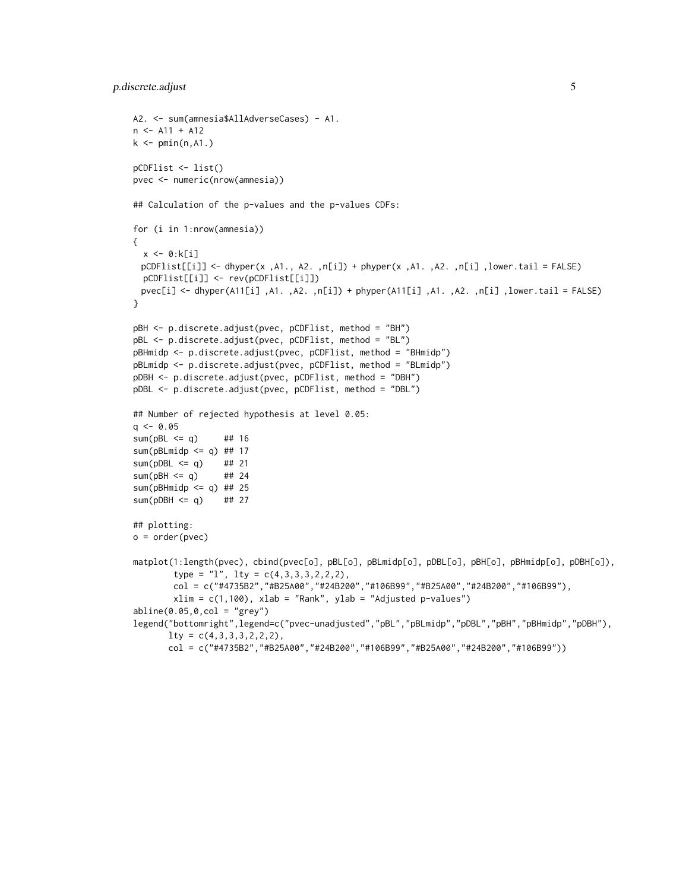#### p.discrete.adjust 5

```
A2. <- sum(amnesia$AllAdverseCases) - A1.
n \leftarrow A11 + A12k \leq pmin(n, A1.)
pCDFlist <- list()
pvec <- numeric(nrow(amnesia))
## Calculation of the p-values and the p-values CDFs:
for (i in 1:nrow(amnesia))
{
  x <- 0:k[i]
 pCDFlist[[i]] <- dhyper(x ,A1., A2. ,n[i]) + phyper(x ,A1. ,A2. ,n[i] ,lower.tail = FALSE)
  pCDFlist[[i]] <- rev(pCDFlist[[i]])
 pvec[i] <- dhyper(A11[i] ,A1. ,A2. ,n[i]) + phyper(A11[i] ,A1. ,A2. ,n[i] ,lower.tail = FALSE)
}
pBH <- p.discrete.adjust(pvec, pCDFlist, method = "BH")
pBL <- p.discrete.adjust(pvec, pCDFlist, method = "BL")
pBHmidp <- p.discrete.adjust(pvec, pCDFlist, method = "BHmidp")
pBLmidp <- p.discrete.adjust(pvec, pCDFlist, method = "BLmidp")
pDBH <- p.discrete.adjust(pvec, pCDFlist, method = "DBH")
pDBL <- p.discrete.adjust(pvec, pCDFlist, method = "DBL")
## Number of rejected hypothesis at level 0.05:
q \le -0.05sum(pBL \leq q) ## 16
sum(pBLmidp \leq q) ## 17
sum(pDBL \leq q) ## 21
sum(pBH \leq q) ## 24
sum(pBHmidp \leq q) ## 25
sum(pDBH \leq q) ## 27
## plotting:
o = order(pvec)matplot(1:length(pvec), cbind(pvec[o], pBL[o], pBLmidp[o], pDBL[o], pBH[o], pBHmidp[o], pDBH[o]),
        type = "l", lty = c(4,3,3,3,2,2,2),col = c("#4735B2","#B25A00","#24B200","#106B99","#B25A00","#24B200","#106B99"),
        xlim = c(1,100), xlab = "Rank", ylab = "Adjusted p-values")abline(0.05, 0, col = "grey")legend("bottomright",legend=c("pvec-unadjusted","pBL","pBLmidp","pDBL","pBH","pBHmidp","pDBH"),
       lty = c(4,3,3,3,2,2,2),
       col = c("#4735B2","#B25A00","#24B200","#106B99","#B25A00","#24B200","#106B99"))
```